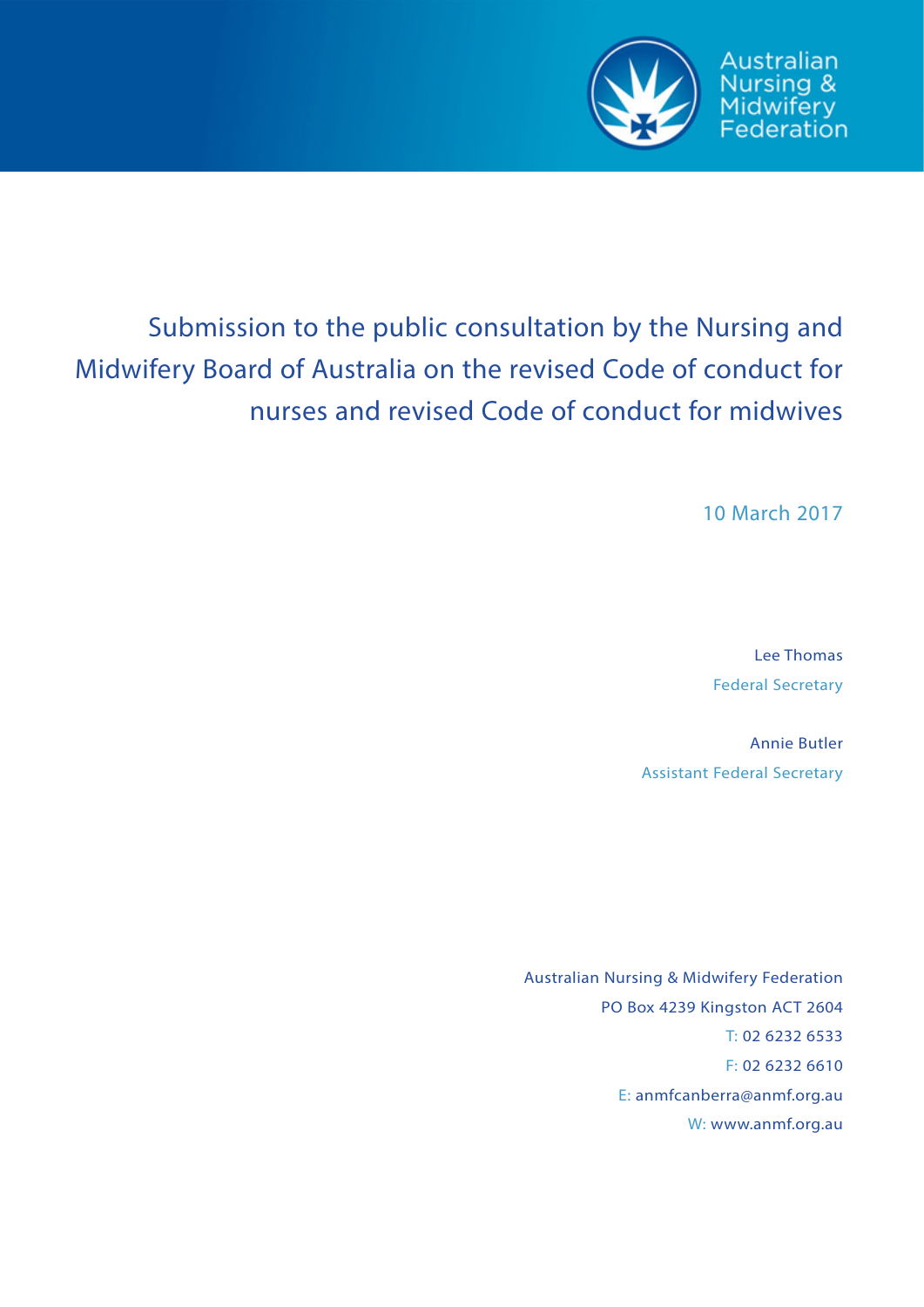

# Submission to the public consultation by the Nursing and Midwifery Board of Australia on the revised Code of conduct for nurses and revised Code of conduct for midwives

10 March 2017

Australian Nursing &

Midwifery<br>Federation

Lee Thomas Federal Secretary

Annie Butler Assistant Federal Secretary

Australian Nursing & Midwifery Federation PO Box 4239 Kingston ACT 2604 T: 02 6232 6533 F: 02 6232 6610 E: anmfcanberra@anmf.org.au W: www.anmf.org.au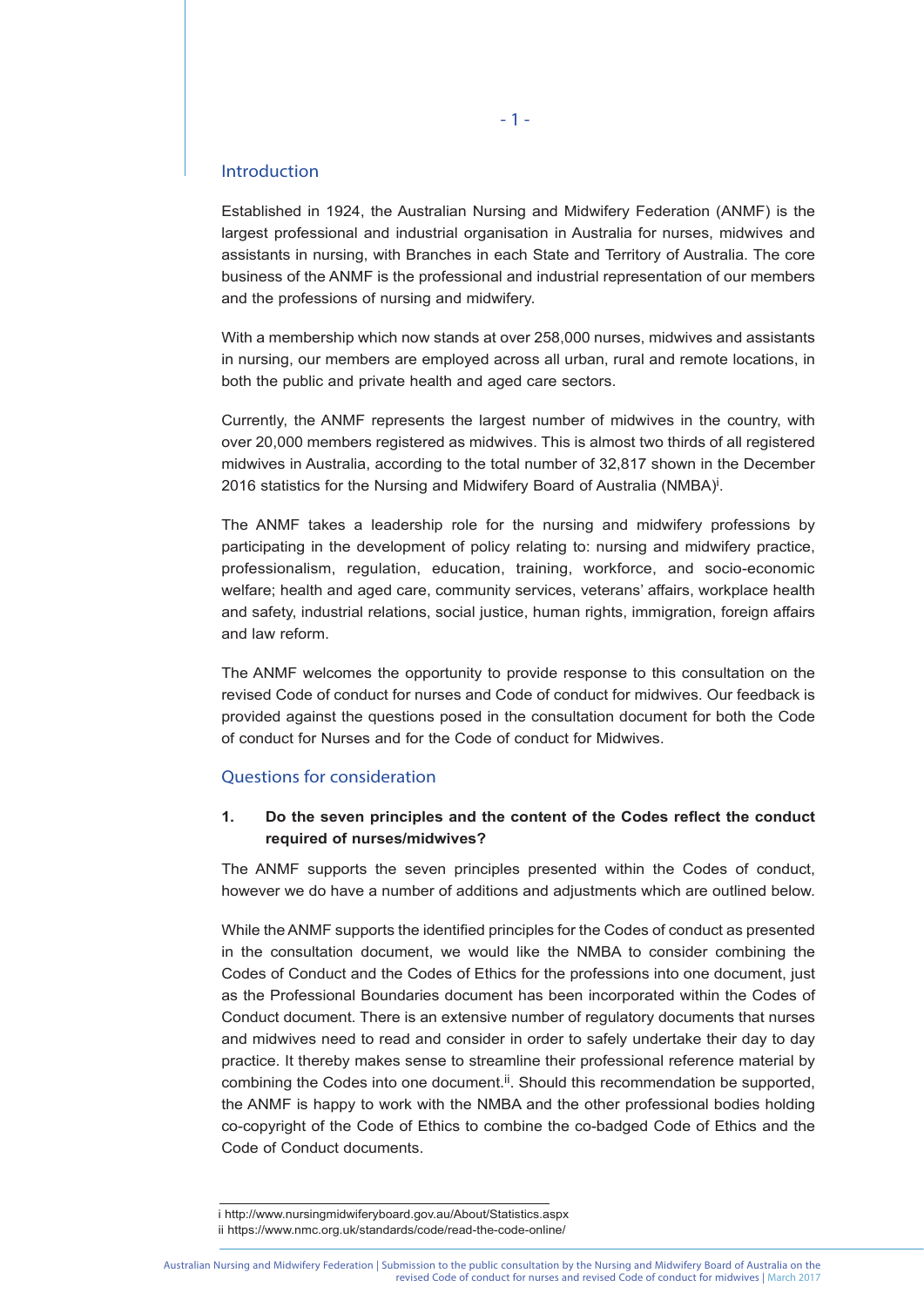## Introduction

Established in 1924, the Australian Nursing and Midwifery Federation (ANMF) is the largest professional and industrial organisation in Australia for nurses, midwives and assistants in nursing, with Branches in each State and Territory of Australia. The core business of the ANMF is the professional and industrial representation of our members and the professions of nursing and midwifery.

With a membership which now stands at over 258,000 nurses, midwives and assistants in nursing, our members are employed across all urban, rural and remote locations, in both the public and private health and aged care sectors.

Currently, the ANMF represents the largest number of midwives in the country, with over 20,000 members registered as midwives. This is almost two thirds of all registered midwives in Australia, according to the total number of 32,817 shown in the December 2016 statistics for the Nursing and Midwifery Board of Australia (NMBA)<sup>i</sup>.

The ANMF takes a leadership role for the nursing and midwifery professions by participating in the development of policy relating to: nursing and midwifery practice, professionalism, regulation, education, training, workforce, and socio-economic welfare; health and aged care, community services, veterans' affairs, workplace health and safety, industrial relations, social justice, human rights, immigration, foreign affairs and law reform.

The ANMF welcomes the opportunity to provide response to this consultation on the revised Code of conduct for nurses and Code of conduct for midwives. Our feedback is provided against the questions posed in the consultation document for both the Code of conduct for Nurses and for the Code of conduct for Midwives.

# Questions for consideration

# **1. Do the seven principles and the content of the Codes reflect the conduct required of nurses/midwives?**

The ANMF supports the seven principles presented within the Codes of conduct, however we do have a number of additions and adjustments which are outlined below.

While the ANMF supports the identified principles for the Codes of conduct as presented in the consultation document, we would like the NMBA to consider combining the Codes of Conduct and the Codes of Ethics for the professions into one document, just as the Professional Boundaries document has been incorporated within the Codes of Conduct document. There is an extensive number of regulatory documents that nurses and midwives need to read and consider in order to safely undertake their day to day practice. It thereby makes sense to streamline their professional reference material by combining the Codes into one document.<sup>ii</sup>. Should this recommendation be supported, the ANMF is happy to work with the NMBA and the other professional bodies holding co-copyright of the Code of Ethics to combine the co-badged Code of Ethics and the Code of Conduct documents.

i http://www.nursingmidwiferyboard.gov.au/About/Statistics.aspx ii https://www.nmc.org.uk/standards/code/read-the-code-online/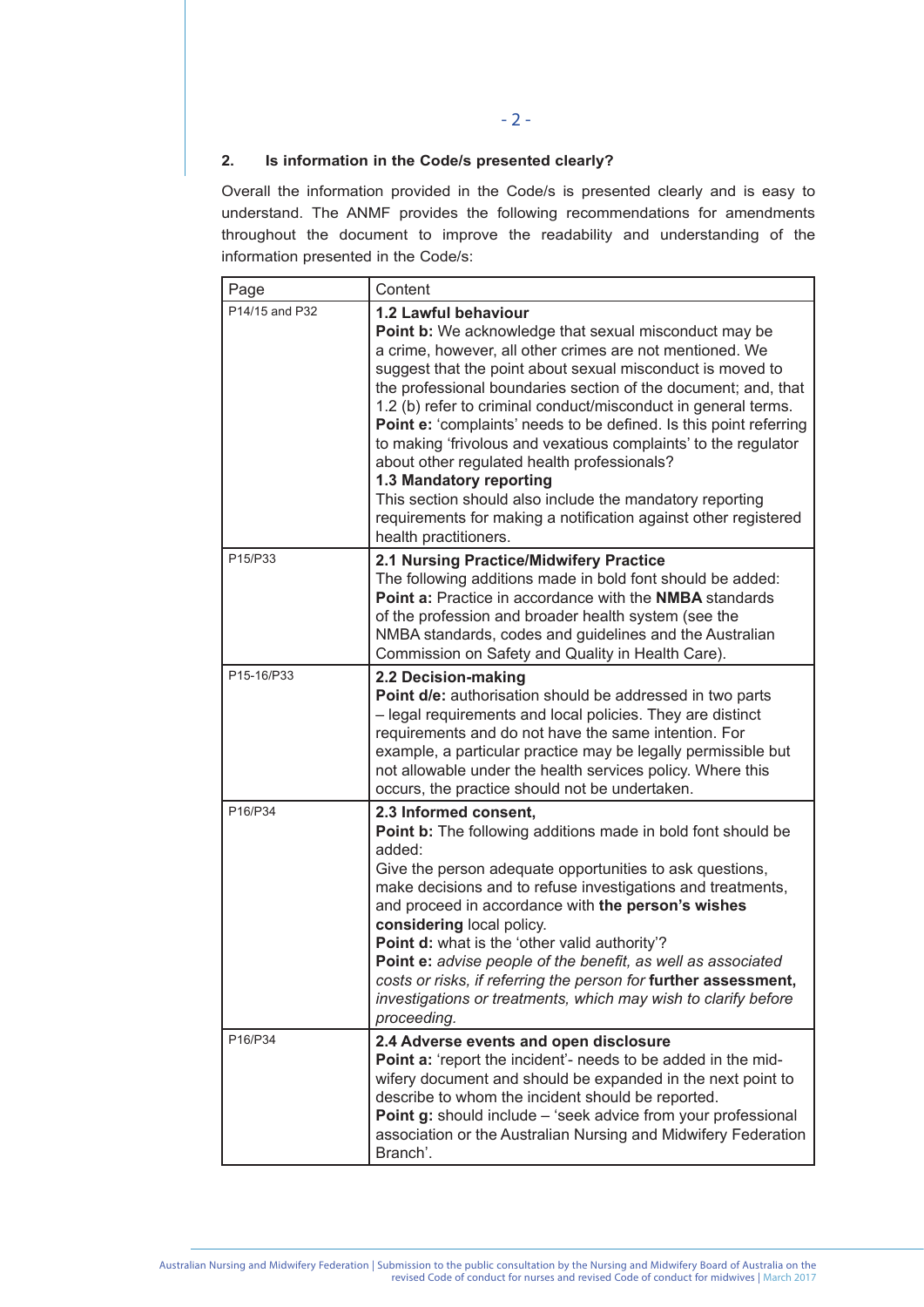# **2. Is information in the Code/s presented clearly?**

Overall the information provided in the Code/s is presented clearly and is easy to understand. The ANMF provides the following recommendations for amendments throughout the document to improve the readability and understanding of the information presented in the Code/s:

| Page           | Content                                                                                                                                                                                                                                                                                                                                                                                                                                                                                                                                                                                                                                                                                                                |
|----------------|------------------------------------------------------------------------------------------------------------------------------------------------------------------------------------------------------------------------------------------------------------------------------------------------------------------------------------------------------------------------------------------------------------------------------------------------------------------------------------------------------------------------------------------------------------------------------------------------------------------------------------------------------------------------------------------------------------------------|
| P14/15 and P32 | 1.2 Lawful behaviour<br>Point b: We acknowledge that sexual misconduct may be<br>a crime, however, all other crimes are not mentioned. We<br>suggest that the point about sexual misconduct is moved to<br>the professional boundaries section of the document; and, that<br>1.2 (b) refer to criminal conduct/misconduct in general terms.<br>Point e: 'complaints' needs to be defined. Is this point referring<br>to making 'frivolous and vexatious complaints' to the regulator<br>about other regulated health professionals?<br>1.3 Mandatory reporting<br>This section should also include the mandatory reporting<br>requirements for making a notification against other registered<br>health practitioners. |
| P15/P33        | 2.1 Nursing Practice/Midwifery Practice<br>The following additions made in bold font should be added:<br><b>Point a:</b> Practice in accordance with the <b>NMBA</b> standards<br>of the profession and broader health system (see the<br>NMBA standards, codes and guidelines and the Australian<br>Commission on Safety and Quality in Health Care).                                                                                                                                                                                                                                                                                                                                                                 |
| P15-16/P33     | 2.2 Decision-making<br>Point d/e: authorisation should be addressed in two parts<br>- legal requirements and local policies. They are distinct<br>requirements and do not have the same intention. For<br>example, a particular practice may be legally permissible but<br>not allowable under the health services policy. Where this<br>occurs, the practice should not be undertaken.                                                                                                                                                                                                                                                                                                                                |
| P16/P34        | 2.3 Informed consent,<br>Point b: The following additions made in bold font should be<br>added:<br>Give the person adequate opportunities to ask questions,<br>make decisions and to refuse investigations and treatments,<br>and proceed in accordance with the person's wishes<br>considering local policy.<br>Point d: what is the 'other valid authority'?<br>Point e: advise people of the benefit, as well as associated<br>costs or risks, if referring the person for further assessment,<br>investigations or treatments, which may wish to clarify before<br>proceeding.                                                                                                                                     |
| P16/P34        | 2.4 Adverse events and open disclosure<br>Point a: 'report the incident'- needs to be added in the mid-<br>wifery document and should be expanded in the next point to<br>describe to whom the incident should be reported.<br>Point g: should include - 'seek advice from your professional<br>association or the Australian Nursing and Midwifery Federation<br>Branch'.                                                                                                                                                                                                                                                                                                                                             |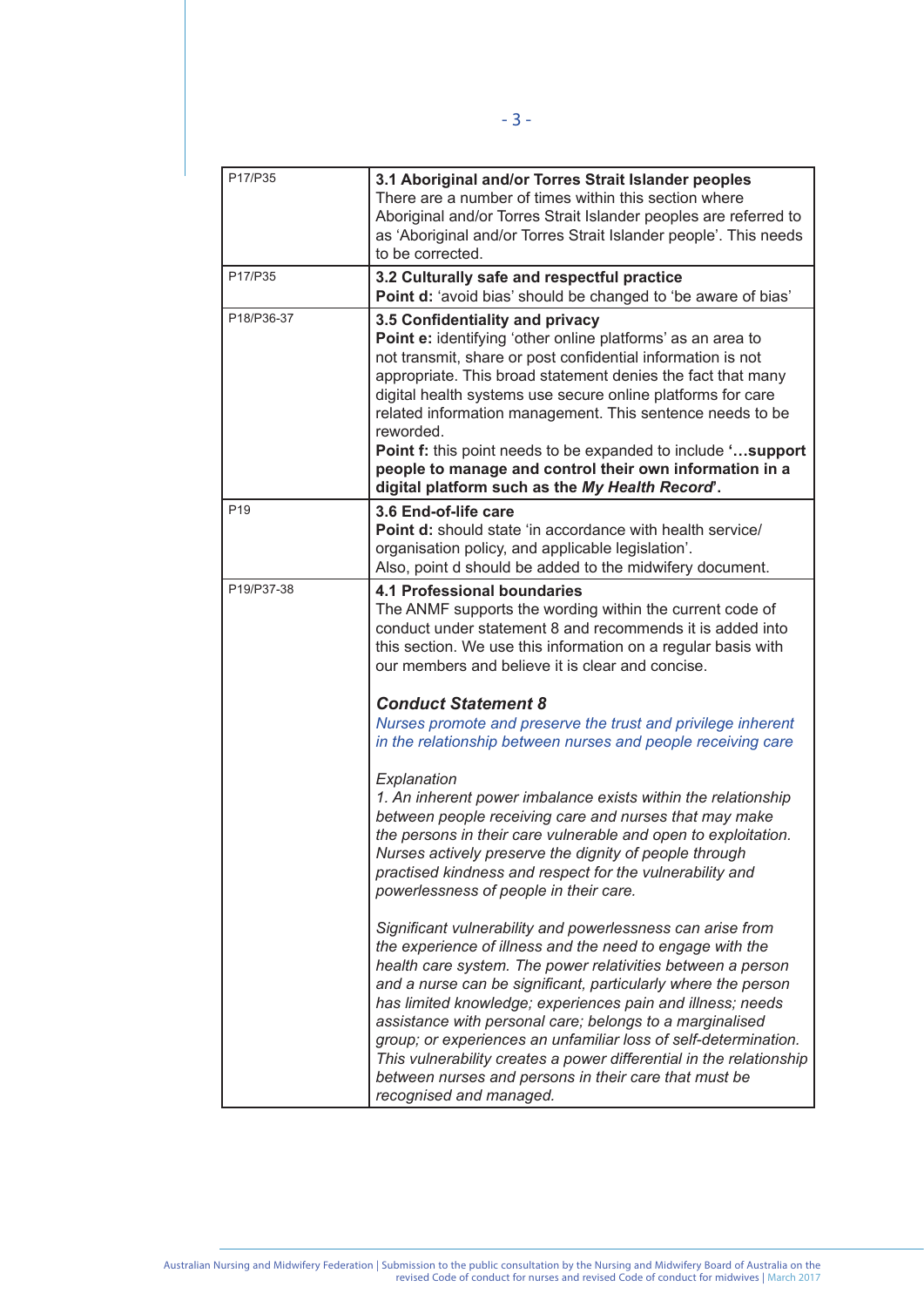| P17/P35         | 3.1 Aboriginal and/or Torres Strait Islander peoples<br>There are a number of times within this section where<br>Aboriginal and/or Torres Strait Islander peoples are referred to<br>as 'Aboriginal and/or Torres Strait Islander people'. This needs<br>to be corrected.                                                                                                                                                                                                                                                                                                                                       |
|-----------------|-----------------------------------------------------------------------------------------------------------------------------------------------------------------------------------------------------------------------------------------------------------------------------------------------------------------------------------------------------------------------------------------------------------------------------------------------------------------------------------------------------------------------------------------------------------------------------------------------------------------|
| P17/P35         | 3.2 Culturally safe and respectful practice<br>Point d: 'avoid bias' should be changed to 'be aware of bias'                                                                                                                                                                                                                                                                                                                                                                                                                                                                                                    |
| P18/P36-37      | 3.5 Confidentiality and privacy<br>Point e: identifying 'other online platforms' as an area to<br>not transmit, share or post confidential information is not<br>appropriate. This broad statement denies the fact that many<br>digital health systems use secure online platforms for care<br>related information management. This sentence needs to be<br>reworded.<br>Point f: this point needs to be expanded to include 'support<br>people to manage and control their own information in a<br>digital platform such as the My Health Record'.                                                             |
| P <sub>19</sub> | 3.6 End-of-life care<br><b>Point d:</b> should state 'in accordance with health service/<br>organisation policy, and applicable legislation'.<br>Also, point d should be added to the midwifery document.                                                                                                                                                                                                                                                                                                                                                                                                       |
| P19/P37-38      | <b>4.1 Professional boundaries</b><br>The ANMF supports the wording within the current code of<br>conduct under statement 8 and recommends it is added into<br>this section. We use this information on a regular basis with<br>our members and believe it is clear and concise.                                                                                                                                                                                                                                                                                                                                |
|                 | <b>Conduct Statement 8</b><br>Nurses promote and preserve the trust and privilege inherent<br>in the relationship between nurses and people receiving care                                                                                                                                                                                                                                                                                                                                                                                                                                                      |
|                 | Explanation<br>1. An inherent power imbalance exists within the relationship<br>between people receiving care and nurses that may make<br>the persons in their care vulnerable and open to exploitation.<br>Nurses actively preserve the dignity of people through<br>practised kindness and respect for the vulnerability and<br>powerlessness of people in their care.                                                                                                                                                                                                                                        |
|                 | Significant vulnerability and powerlessness can arise from<br>the experience of illness and the need to engage with the<br>health care system. The power relativities between a person<br>and a nurse can be significant, particularly where the person<br>has limited knowledge; experiences pain and illness; needs<br>assistance with personal care; belongs to a marginalised<br>group; or experiences an unfamiliar loss of self-determination.<br>This vulnerability creates a power differential in the relationship<br>between nurses and persons in their care that must be<br>recognised and managed. |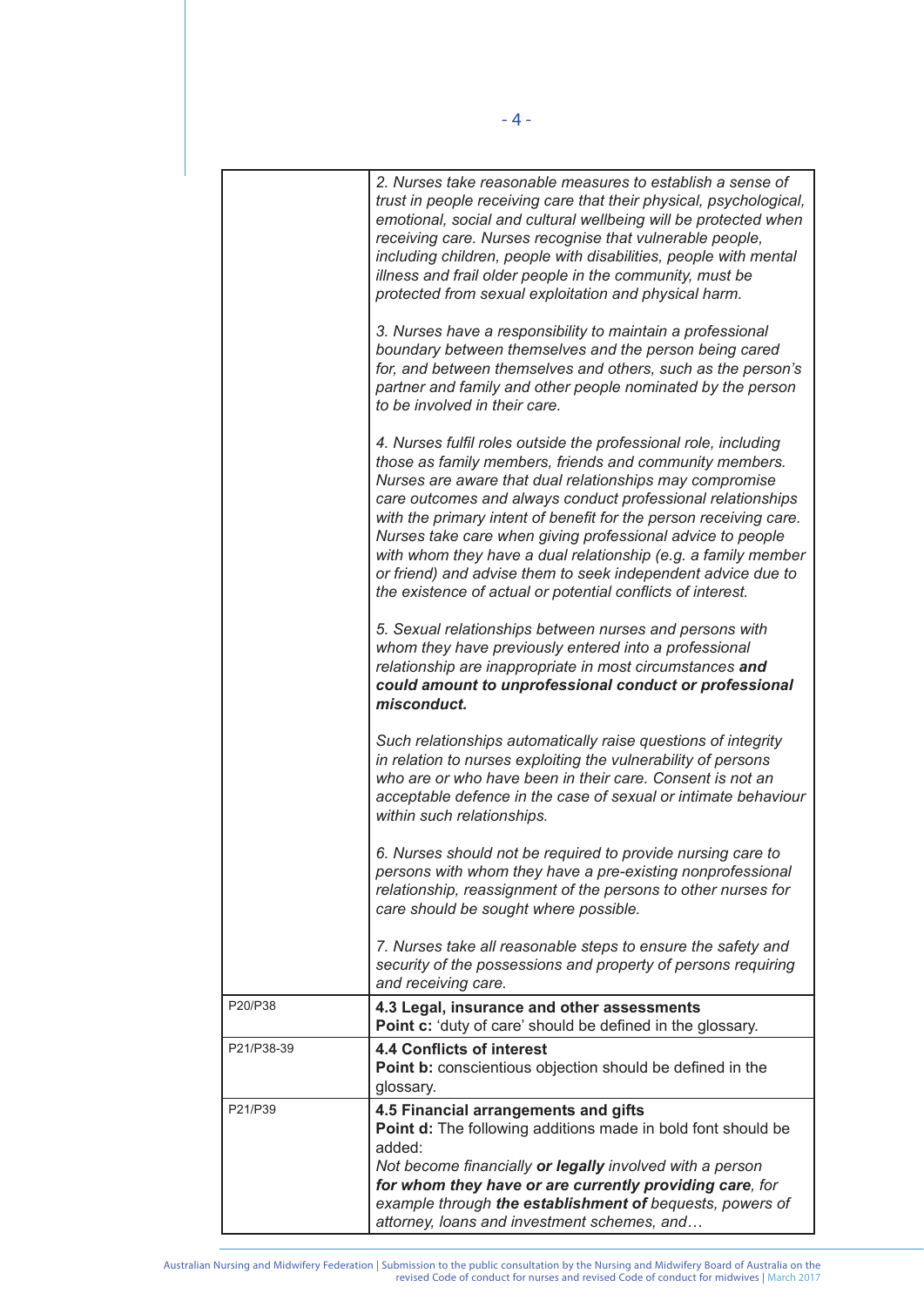|            | 2. Nurses take reasonable measures to establish a sense of<br>trust in people receiving care that their physical, psychological,<br>emotional, social and cultural wellbeing will be protected when<br>receiving care. Nurses recognise that vulnerable people,<br>including children, people with disabilities, people with mental<br>illness and frail older people in the community, must be<br>protected from sexual exploitation and physical harm.<br>3. Nurses have a responsibility to maintain a professional<br>boundary between themselves and the person being cared<br>for, and between themselves and others, such as the person's<br>partner and family and other people nominated by the person<br>to be involved in their care.<br>4. Nurses fulfil roles outside the professional role, including<br>those as family members, friends and community members.<br>Nurses are aware that dual relationships may compromise<br>care outcomes and always conduct professional relationships<br>with the primary intent of benefit for the person receiving care.<br>Nurses take care when giving professional advice to people<br>with whom they have a dual relationship (e.g. a family member<br>or friend) and advise them to seek independent advice due to<br>the existence of actual or potential conflicts of interest.<br>5. Sexual relationships between nurses and persons with<br>whom they have previously entered into a professional<br>relationship are inappropriate in most circumstances and<br>could amount to unprofessional conduct or professional<br>misconduct.<br>Such relationships automatically raise questions of integrity<br>in relation to nurses exploiting the vulnerability of persons<br>who are or who have been in their care. Consent is not an<br>acceptable defence in the case of sexual or intimate behaviour<br>within such relationships.<br>6. Nurses should not be required to provide nursing care to<br>persons with whom they have a pre-existing nonprofessional<br>relationship, reassignment of the persons to other nurses for |
|------------|---------------------------------------------------------------------------------------------------------------------------------------------------------------------------------------------------------------------------------------------------------------------------------------------------------------------------------------------------------------------------------------------------------------------------------------------------------------------------------------------------------------------------------------------------------------------------------------------------------------------------------------------------------------------------------------------------------------------------------------------------------------------------------------------------------------------------------------------------------------------------------------------------------------------------------------------------------------------------------------------------------------------------------------------------------------------------------------------------------------------------------------------------------------------------------------------------------------------------------------------------------------------------------------------------------------------------------------------------------------------------------------------------------------------------------------------------------------------------------------------------------------------------------------------------------------------------------------------------------------------------------------------------------------------------------------------------------------------------------------------------------------------------------------------------------------------------------------------------------------------------------------------------------------------------------------------------------------------------------------------------------------------------------------------------------------------------------------------------|
|            | care should be sought where possible.<br>7. Nurses take all reasonable steps to ensure the safety and<br>security of the possessions and property of persons requiring<br>and receiving care.                                                                                                                                                                                                                                                                                                                                                                                                                                                                                                                                                                                                                                                                                                                                                                                                                                                                                                                                                                                                                                                                                                                                                                                                                                                                                                                                                                                                                                                                                                                                                                                                                                                                                                                                                                                                                                                                                                     |
| P20/P38    | 4.3 Legal, insurance and other assessments                                                                                                                                                                                                                                                                                                                                                                                                                                                                                                                                                                                                                                                                                                                                                                                                                                                                                                                                                                                                                                                                                                                                                                                                                                                                                                                                                                                                                                                                                                                                                                                                                                                                                                                                                                                                                                                                                                                                                                                                                                                        |
|            | Point c: 'duty of care' should be defined in the glossary.                                                                                                                                                                                                                                                                                                                                                                                                                                                                                                                                                                                                                                                                                                                                                                                                                                                                                                                                                                                                                                                                                                                                                                                                                                                                                                                                                                                                                                                                                                                                                                                                                                                                                                                                                                                                                                                                                                                                                                                                                                        |
| P21/P38-39 | <b>4.4 Conflicts of interest</b><br>Point b: conscientious objection should be defined in the<br>glossary.                                                                                                                                                                                                                                                                                                                                                                                                                                                                                                                                                                                                                                                                                                                                                                                                                                                                                                                                                                                                                                                                                                                                                                                                                                                                                                                                                                                                                                                                                                                                                                                                                                                                                                                                                                                                                                                                                                                                                                                        |
| P21/P39    | 4.5 Financial arrangements and gifts<br>Point d: The following additions made in bold font should be<br>added:<br>Not become financially or legally involved with a person<br>for whom they have or are currently providing care, for<br>example through the establishment of bequests, powers of<br>attorney, loans and investment schemes, and                                                                                                                                                                                                                                                                                                                                                                                                                                                                                                                                                                                                                                                                                                                                                                                                                                                                                                                                                                                                                                                                                                                                                                                                                                                                                                                                                                                                                                                                                                                                                                                                                                                                                                                                                  |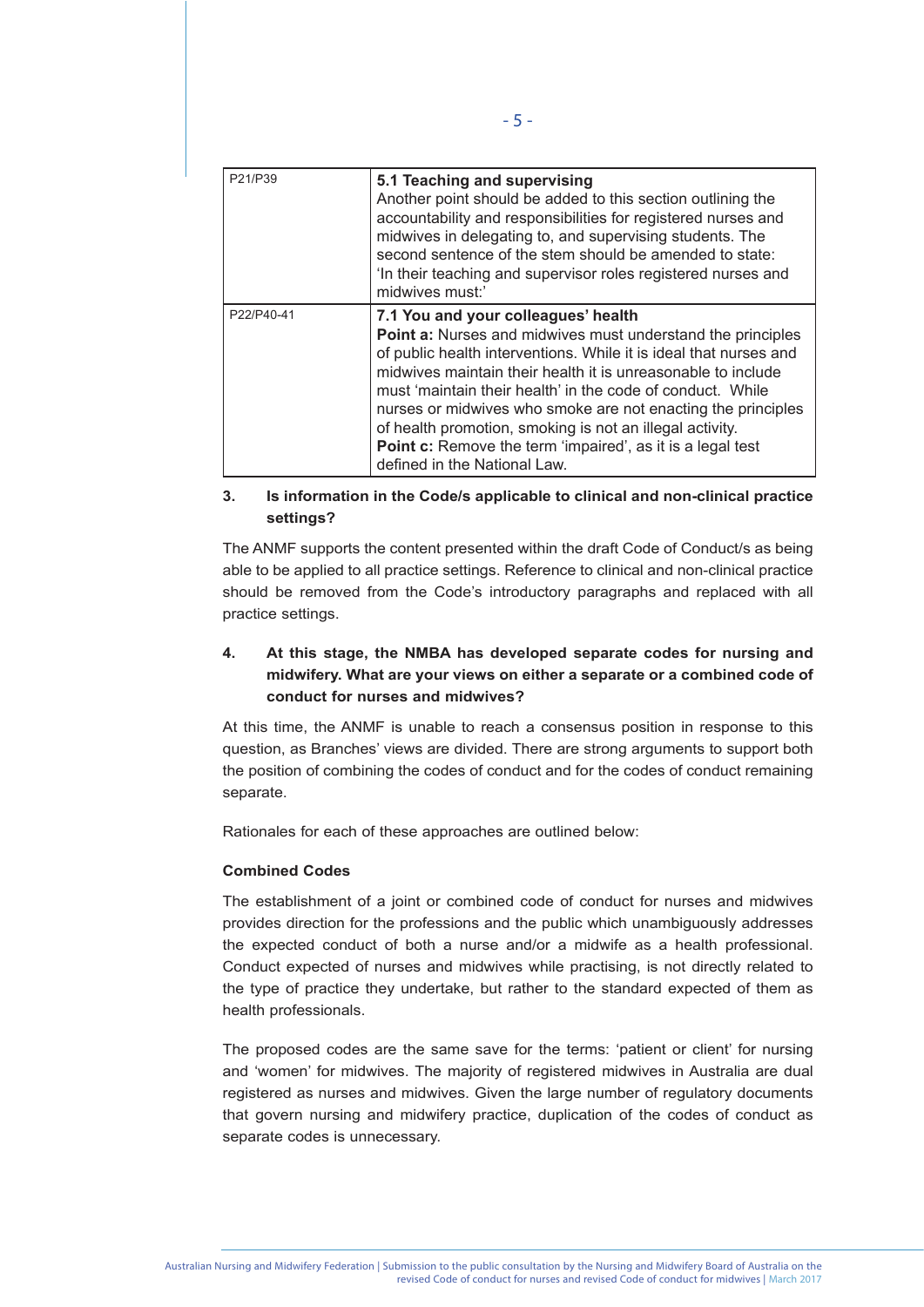| P21/P39    | 5.1 Teaching and supervising<br>Another point should be added to this section outlining the<br>accountability and responsibilities for registered nurses and<br>midwives in delegating to, and supervising students. The<br>second sentence of the stem should be amended to state:<br>In their teaching and supervisor roles registered nurses and<br>midwives must:'                                                                                                                                                          |
|------------|---------------------------------------------------------------------------------------------------------------------------------------------------------------------------------------------------------------------------------------------------------------------------------------------------------------------------------------------------------------------------------------------------------------------------------------------------------------------------------------------------------------------------------|
| P22/P40-41 | 7.1 You and your colleagues' health<br>Point a: Nurses and midwives must understand the principles<br>of public health interventions. While it is ideal that nurses and<br>midwives maintain their health it is unreasonable to include<br>must 'maintain their health' in the code of conduct. While<br>nurses or midwives who smoke are not enacting the principles<br>of health promotion, smoking is not an illegal activity.<br>Point c: Remove the term 'impaired', as it is a legal test<br>defined in the National Law. |

- 5 -

# **3. Is information in the Code/s applicable to clinical and non-clinical practice settings?**

The ANMF supports the content presented within the draft Code of Conduct/s as being able to be applied to all practice settings. Reference to clinical and non-clinical practice should be removed from the Code's introductory paragraphs and replaced with all practice settings.

# **4. At this stage, the NMBA has developed separate codes for nursing and midwifery. What are your views on either a separate or a combined code of conduct for nurses and midwives?**

At this time, the ANMF is unable to reach a consensus position in response to this question, as Branches' views are divided. There are strong arguments to support both the position of combining the codes of conduct and for the codes of conduct remaining separate.

Rationales for each of these approaches are outlined below:

#### **Combined Codes**

The establishment of a joint or combined code of conduct for nurses and midwives provides direction for the professions and the public which unambiguously addresses the expected conduct of both a nurse and/or a midwife as a health professional. Conduct expected of nurses and midwives while practising, is not directly related to the type of practice they undertake, but rather to the standard expected of them as health professionals.

The proposed codes are the same save for the terms: 'patient or client' for nursing and 'women' for midwives. The majority of registered midwives in Australia are dual registered as nurses and midwives. Given the large number of regulatory documents that govern nursing and midwifery practice, duplication of the codes of conduct as separate codes is unnecessary.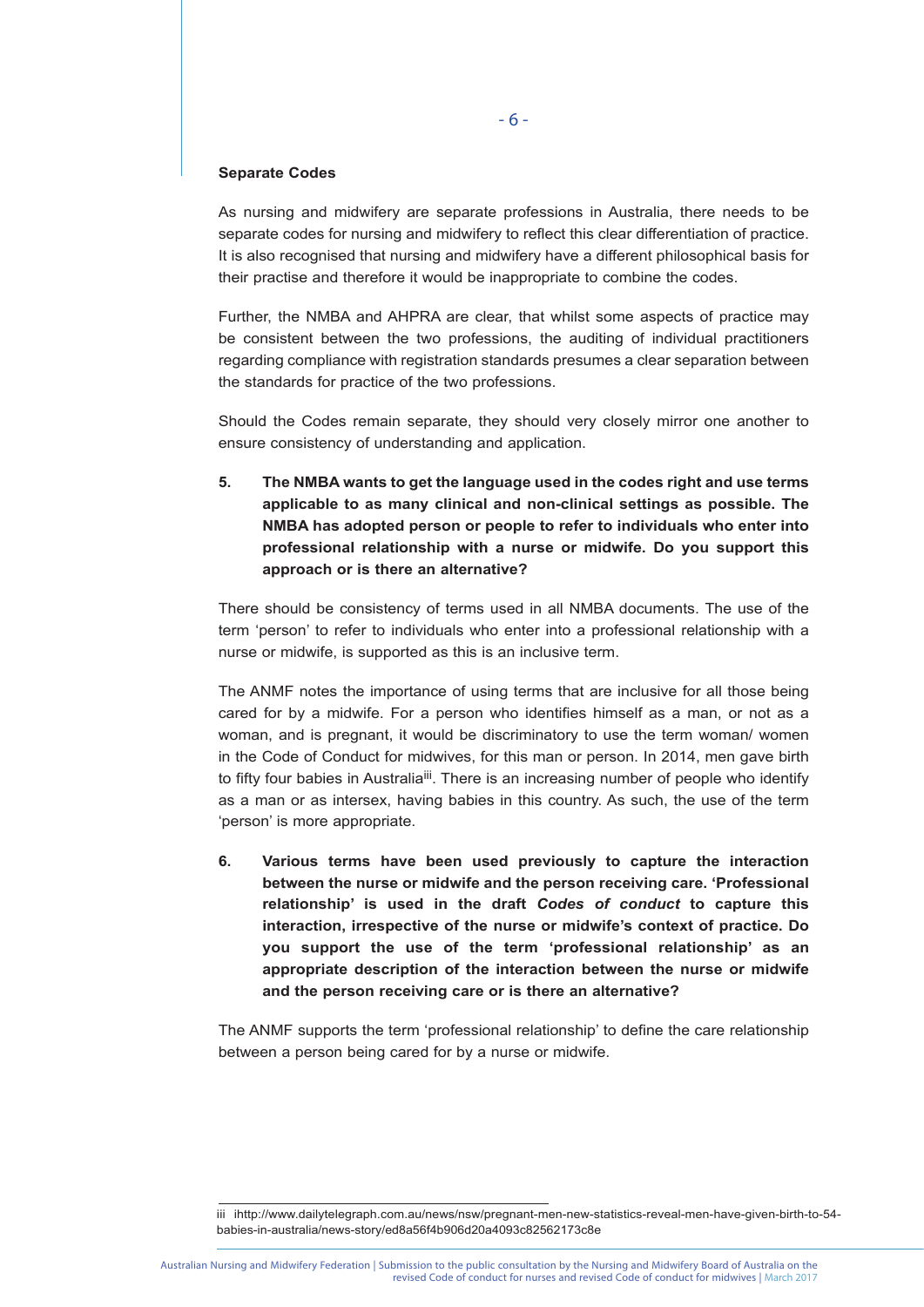#### **Separate Codes**

As nursing and midwifery are separate professions in Australia, there needs to be separate codes for nursing and midwifery to reflect this clear differentiation of practice. It is also recognised that nursing and midwifery have a different philosophical basis for their practise and therefore it would be inappropriate to combine the codes.

Further, the NMBA and AHPRA are clear, that whilst some aspects of practice may be consistent between the two professions, the auditing of individual practitioners regarding compliance with registration standards presumes a clear separation between the standards for practice of the two professions.

Should the Codes remain separate, they should very closely mirror one another to ensure consistency of understanding and application.

**5. The NMBA wants to get the language used in the codes right and use terms applicable to as many clinical and non-clinical settings as possible. The NMBA has adopted person or people to refer to individuals who enter into professional relationship with a nurse or midwife. Do you support this approach or is there an alternative?** 

There should be consistency of terms used in all NMBA documents. The use of the term 'person' to refer to individuals who enter into a professional relationship with a nurse or midwife, is supported as this is an inclusive term.

The ANMF notes the importance of using terms that are inclusive for all those being cared for by a midwife. For a person who identifies himself as a man, or not as a woman, and is pregnant, it would be discriminatory to use the term woman/ women in the Code of Conduct for midwives, for this man or person. In 2014, men gave birth to fifty four babies in Australia<sup>iii</sup>. There is an increasing number of people who identify as a man or as intersex, having babies in this country. As such, the use of the term 'person' is more appropriate.

**6. Various terms have been used previously to capture the interaction between the nurse or midwife and the person receiving care. 'Professional relationship' is used in the draft** *Codes of conduct* **to capture this interaction, irrespective of the nurse or midwife's context of practice. Do you support the use of the term 'professional relationship' as an appropriate description of the interaction between the nurse or midwife and the person receiving care or is there an alternative?** 

The ANMF supports the term 'professional relationship' to define the care relationship between a person being cared for by a nurse or midwife.

iii ihttp://www.dailytelegraph.com.au/news/nsw/pregnant-men-new-statistics-reveal-men-have-given-birth-to-54 babies-in-australia/news-story/ed8a56f4b906d20a4093c82562173c8e